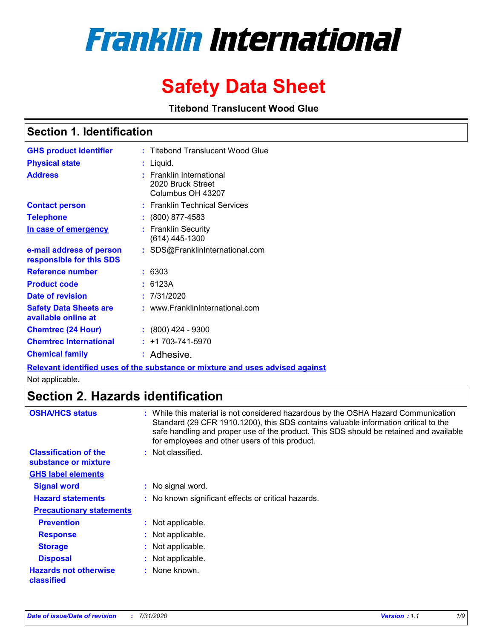# **Franklin International**

# **Safety Data Sheet**

**Titebond Translucent Wood Glue**

### **Section 1. Identification**

| <b>GHS product identifier</b>                        | : Titebond Translucent Wood Glue                                   |
|------------------------------------------------------|--------------------------------------------------------------------|
| <b>Physical state</b>                                | : Liquid.                                                          |
| <b>Address</b>                                       | : Franklin International<br>2020 Bruck Street<br>Columbus OH 43207 |
| <b>Contact person</b>                                | : Franklin Technical Services                                      |
| <b>Telephone</b>                                     | : (800) 877-4583                                                   |
| In case of emergency                                 | : Franklin Security<br>(614) 445-1300                              |
| e-mail address of person<br>responsible for this SDS | : SDS@FranklinInternational.com                                    |
| <b>Reference number</b>                              | : 6303                                                             |
| <b>Product code</b>                                  | : 6123A                                                            |
| Date of revision                                     | : 7/31/2020                                                        |
| <b>Safety Data Sheets are</b><br>available online at | : www.FranklinInternational.com                                    |
| <b>Chemtrec (24 Hour)</b>                            | $: (800)$ 424 - 9300                                               |
| <b>Chemtrec International</b>                        | $: +1703 - 741 - 5970$                                             |
| <b>Chemical family</b>                               | : Adhesive.                                                        |

**Relevant identified uses of the substance or mixture and uses advised against**

Not applicable.

# **Section 2. Hazards identification**

| <b>OSHA/HCS status</b>                               | : While this material is not considered hazardous by the OSHA Hazard Communication<br>Standard (29 CFR 1910.1200), this SDS contains valuable information critical to the<br>safe handling and proper use of the product. This SDS should be retained and available<br>for employees and other users of this product. |
|------------------------------------------------------|-----------------------------------------------------------------------------------------------------------------------------------------------------------------------------------------------------------------------------------------------------------------------------------------------------------------------|
| <b>Classification of the</b><br>substance or mixture | : Not classified.                                                                                                                                                                                                                                                                                                     |
| <b>GHS label elements</b>                            |                                                                                                                                                                                                                                                                                                                       |
| <b>Signal word</b>                                   | : No signal word.                                                                                                                                                                                                                                                                                                     |
| <b>Hazard statements</b>                             | : No known significant effects or critical hazards.                                                                                                                                                                                                                                                                   |
| <b>Precautionary statements</b>                      |                                                                                                                                                                                                                                                                                                                       |
| <b>Prevention</b>                                    | : Not applicable.                                                                                                                                                                                                                                                                                                     |
| <b>Response</b>                                      | : Not applicable.                                                                                                                                                                                                                                                                                                     |
| <b>Storage</b>                                       | : Not applicable.                                                                                                                                                                                                                                                                                                     |
| <b>Disposal</b>                                      | : Not applicable.                                                                                                                                                                                                                                                                                                     |
| <b>Hazards not otherwise</b><br>classified           | : None known.                                                                                                                                                                                                                                                                                                         |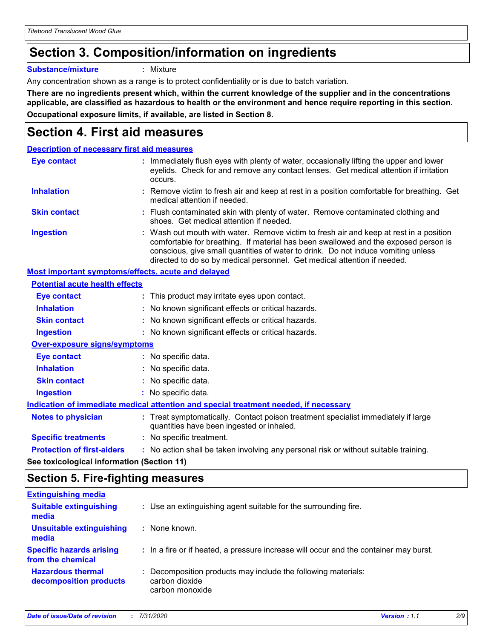# **Section 3. Composition/information on ingredients**

**Substance/mixture :** Mixture

Any concentration shown as a range is to protect confidentiality or is due to batch variation.

**There are no ingredients present which, within the current knowledge of the supplier and in the concentrations applicable, are classified as hazardous to health or the environment and hence require reporting in this section. Occupational exposure limits, if available, are listed in Section 8.**

### **Section 4. First aid measures**

| <b>Description of necessary first aid measures</b> |                                                                                                                                                                                                                                                                                                                                                |
|----------------------------------------------------|------------------------------------------------------------------------------------------------------------------------------------------------------------------------------------------------------------------------------------------------------------------------------------------------------------------------------------------------|
| <b>Eye contact</b>                                 | : Immediately flush eyes with plenty of water, occasionally lifting the upper and lower<br>eyelids. Check for and remove any contact lenses. Get medical attention if irritation<br>occurs.                                                                                                                                                    |
| <b>Inhalation</b>                                  | : Remove victim to fresh air and keep at rest in a position comfortable for breathing. Get<br>medical attention if needed.                                                                                                                                                                                                                     |
| <b>Skin contact</b>                                | : Flush contaminated skin with plenty of water. Remove contaminated clothing and<br>shoes. Get medical attention if needed.                                                                                                                                                                                                                    |
| <b>Ingestion</b>                                   | : Wash out mouth with water. Remove victim to fresh air and keep at rest in a position<br>comfortable for breathing. If material has been swallowed and the exposed person is<br>conscious, give small quantities of water to drink. Do not induce vomiting unless<br>directed to do so by medical personnel. Get medical attention if needed. |
| Most important symptoms/effects, acute and delayed |                                                                                                                                                                                                                                                                                                                                                |
| <b>Potential acute health effects</b>              |                                                                                                                                                                                                                                                                                                                                                |
| Eye contact                                        | : This product may irritate eyes upon contact.                                                                                                                                                                                                                                                                                                 |
| <b>Inhalation</b>                                  | : No known significant effects or critical hazards.                                                                                                                                                                                                                                                                                            |
| <b>Skin contact</b>                                | : No known significant effects or critical hazards.                                                                                                                                                                                                                                                                                            |
| <b>Ingestion</b>                                   | : No known significant effects or critical hazards.                                                                                                                                                                                                                                                                                            |
| <b>Over-exposure signs/symptoms</b>                |                                                                                                                                                                                                                                                                                                                                                |
| <b>Eye contact</b>                                 | : No specific data.                                                                                                                                                                                                                                                                                                                            |
| <b>Inhalation</b>                                  | : No specific data.                                                                                                                                                                                                                                                                                                                            |
| <b>Skin contact</b>                                | : No specific data.                                                                                                                                                                                                                                                                                                                            |
| <b>Ingestion</b>                                   | : No specific data.                                                                                                                                                                                                                                                                                                                            |
|                                                    | Indication of immediate medical attention and special treatment needed, if necessary                                                                                                                                                                                                                                                           |
| <b>Notes to physician</b>                          | : Treat symptomatically. Contact poison treatment specialist immediately if large<br>quantities have been ingested or inhaled.                                                                                                                                                                                                                 |
| <b>Specific treatments</b>                         | : No specific treatment.                                                                                                                                                                                                                                                                                                                       |
| <b>Protection of first-aiders</b>                  | : No action shall be taken involving any personal risk or without suitable training.                                                                                                                                                                                                                                                           |
|                                                    |                                                                                                                                                                                                                                                                                                                                                |

**See toxicological information (Section 11)**

### **Section 5. Fire-fighting measures**

| <b>Extinguishing media</b>                           |                                                                                                    |
|------------------------------------------------------|----------------------------------------------------------------------------------------------------|
| <b>Suitable extinguishing</b><br>media               | : Use an extinguishing agent suitable for the surrounding fire.                                    |
| <b>Unsuitable extinguishing</b><br>media             | : None known.                                                                                      |
| <b>Specific hazards arising</b><br>from the chemical | : In a fire or if heated, a pressure increase will occur and the container may burst.              |
| <b>Hazardous thermal</b><br>decomposition products   | : Decomposition products may include the following materials:<br>carbon dioxide<br>carbon monoxide |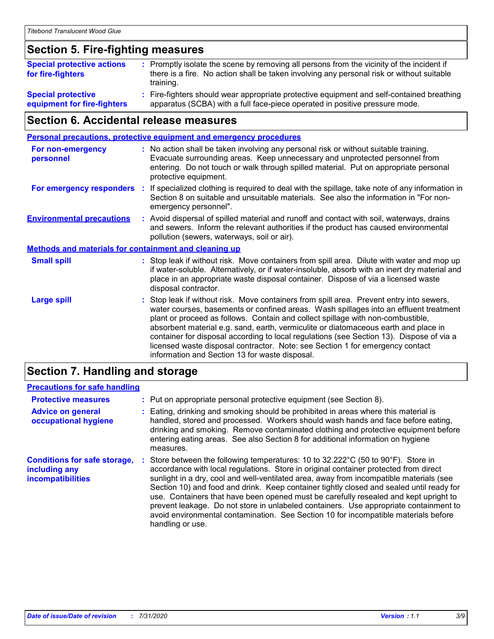### **Section 5. Fire-fighting measures**

| <b>Special protective actions</b><br>for fire-fighters   | : Promptly isolate the scene by removing all persons from the vicinity of the incident if<br>there is a fire. No action shall be taken involving any personal risk or without suitable<br>training. |
|----------------------------------------------------------|-----------------------------------------------------------------------------------------------------------------------------------------------------------------------------------------------------|
| <b>Special protective</b><br>equipment for fire-fighters | : Fire-fighters should wear appropriate protective equipment and self-contained breathing<br>apparatus (SCBA) with a full face-piece operated in positive pressure mode.                            |

### **Section 6. Accidental release measures**

| <b>Personal precautions, protective equipment and emergency procedures</b> |    |                                                                                                                                                                                                                                                                                                                                                                                                                                                                                                                                                                                            |
|----------------------------------------------------------------------------|----|--------------------------------------------------------------------------------------------------------------------------------------------------------------------------------------------------------------------------------------------------------------------------------------------------------------------------------------------------------------------------------------------------------------------------------------------------------------------------------------------------------------------------------------------------------------------------------------------|
| <b>For non-emergency</b><br>personnel                                      |    | : No action shall be taken involving any personal risk or without suitable training.<br>Evacuate surrounding areas. Keep unnecessary and unprotected personnel from<br>entering. Do not touch or walk through spilled material. Put on appropriate personal<br>protective equipment.                                                                                                                                                                                                                                                                                                       |
| For emergency responders                                                   | ÷. | If specialized clothing is required to deal with the spillage, take note of any information in<br>Section 8 on suitable and unsuitable materials. See also the information in "For non-<br>emergency personnel".                                                                                                                                                                                                                                                                                                                                                                           |
| <b>Environmental precautions</b>                                           |    | : Avoid dispersal of spilled material and runoff and contact with soil, waterways, drains<br>and sewers. Inform the relevant authorities if the product has caused environmental<br>pollution (sewers, waterways, soil or air).                                                                                                                                                                                                                                                                                                                                                            |
| <b>Methods and materials for containment and cleaning up</b>               |    |                                                                                                                                                                                                                                                                                                                                                                                                                                                                                                                                                                                            |
| <b>Small spill</b>                                                         |    | : Stop leak if without risk. Move containers from spill area. Dilute with water and mop up<br>if water-soluble. Alternatively, or if water-insoluble, absorb with an inert dry material and<br>place in an appropriate waste disposal container. Dispose of via a licensed waste<br>disposal contractor.                                                                                                                                                                                                                                                                                   |
| <b>Large spill</b>                                                         |    | : Stop leak if without risk. Move containers from spill area. Prevent entry into sewers,<br>water courses, basements or confined areas. Wash spillages into an effluent treatment<br>plant or proceed as follows. Contain and collect spillage with non-combustible,<br>absorbent material e.g. sand, earth, vermiculite or diatomaceous earth and place in<br>container for disposal according to local regulations (see Section 13). Dispose of via a<br>licensed waste disposal contractor. Note: see Section 1 for emergency contact<br>information and Section 13 for waste disposal. |
|                                                                            |    |                                                                                                                                                                                                                                                                                                                                                                                                                                                                                                                                                                                            |

### **Section 7. Handling and storage**

### **Precautions for safe handling**

| <b>Protective measures</b>                                                       | : Put on appropriate personal protective equipment (see Section 8).                                                                                                                                                                                                                                                                                                                                                                                                                                                                                                                                                                                                            |
|----------------------------------------------------------------------------------|--------------------------------------------------------------------------------------------------------------------------------------------------------------------------------------------------------------------------------------------------------------------------------------------------------------------------------------------------------------------------------------------------------------------------------------------------------------------------------------------------------------------------------------------------------------------------------------------------------------------------------------------------------------------------------|
| <b>Advice on general</b><br>occupational hygiene                                 | : Eating, drinking and smoking should be prohibited in areas where this material is<br>handled, stored and processed. Workers should wash hands and face before eating,<br>drinking and smoking. Remove contaminated clothing and protective equipment before<br>entering eating areas. See also Section 8 for additional information on hygiene<br>measures.                                                                                                                                                                                                                                                                                                                  |
| <b>Conditions for safe storage,</b><br>including any<br><b>incompatibilities</b> | Store between the following temperatures: 10 to $32.222^{\circ}$ C (50 to $90^{\circ}$ F). Store in<br>accordance with local regulations. Store in original container protected from direct<br>sunlight in a dry, cool and well-ventilated area, away from incompatible materials (see<br>Section 10) and food and drink. Keep container tightly closed and sealed until ready for<br>use. Containers that have been opened must be carefully resealed and kept upright to<br>prevent leakage. Do not store in unlabeled containers. Use appropriate containment to<br>avoid environmental contamination. See Section 10 for incompatible materials before<br>handling or use. |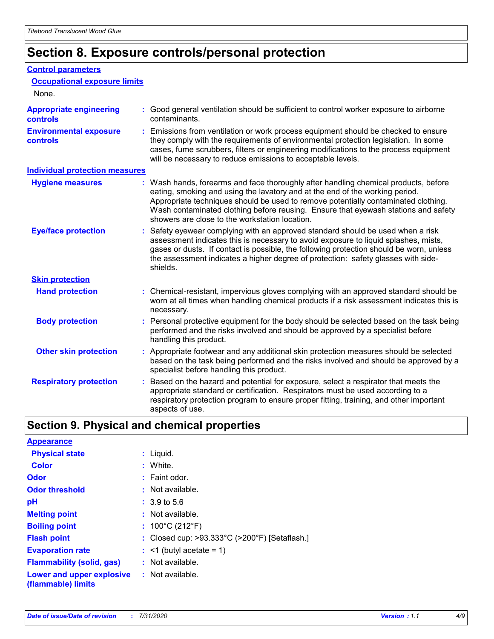# **Section 8. Exposure controls/personal protection**

#### **Control parameters**

| <b>Occupational exposure limits</b><br>None.      |                                                                                                                                                                                                                                                                                                                                                                                                   |
|---------------------------------------------------|---------------------------------------------------------------------------------------------------------------------------------------------------------------------------------------------------------------------------------------------------------------------------------------------------------------------------------------------------------------------------------------------------|
|                                                   |                                                                                                                                                                                                                                                                                                                                                                                                   |
| <b>Appropriate engineering</b><br><b>controls</b> | : Good general ventilation should be sufficient to control worker exposure to airborne<br>contaminants.                                                                                                                                                                                                                                                                                           |
| <b>Environmental exposure</b><br><b>controls</b>  | : Emissions from ventilation or work process equipment should be checked to ensure<br>they comply with the requirements of environmental protection legislation. In some<br>cases, fume scrubbers, filters or engineering modifications to the process equipment<br>will be necessary to reduce emissions to acceptable levels.                                                                   |
| <b>Individual protection measures</b>             |                                                                                                                                                                                                                                                                                                                                                                                                   |
| <b>Hygiene measures</b>                           | : Wash hands, forearms and face thoroughly after handling chemical products, before<br>eating, smoking and using the lavatory and at the end of the working period.<br>Appropriate techniques should be used to remove potentially contaminated clothing.<br>Wash contaminated clothing before reusing. Ensure that eyewash stations and safety<br>showers are close to the workstation location. |
| <b>Eye/face protection</b>                        | : Safety eyewear complying with an approved standard should be used when a risk<br>assessment indicates this is necessary to avoid exposure to liquid splashes, mists,<br>gases or dusts. If contact is possible, the following protection should be worn, unless<br>the assessment indicates a higher degree of protection: safety glasses with side-<br>shields.                                |
| <b>Skin protection</b>                            |                                                                                                                                                                                                                                                                                                                                                                                                   |
| <b>Hand protection</b>                            | : Chemical-resistant, impervious gloves complying with an approved standard should be<br>worn at all times when handling chemical products if a risk assessment indicates this is<br>necessary.                                                                                                                                                                                                   |
| <b>Body protection</b>                            | : Personal protective equipment for the body should be selected based on the task being<br>performed and the risks involved and should be approved by a specialist before<br>handling this product.                                                                                                                                                                                               |
| <b>Other skin protection</b>                      | : Appropriate footwear and any additional skin protection measures should be selected<br>based on the task being performed and the risks involved and should be approved by a<br>specialist before handling this product.                                                                                                                                                                         |
| <b>Respiratory protection</b>                     | Based on the hazard and potential for exposure, select a respirator that meets the<br>appropriate standard or certification. Respirators must be used according to a<br>respiratory protection program to ensure proper fitting, training, and other important<br>aspects of use.                                                                                                                 |

# **Section 9. Physical and chemical properties**

| <b>Appearance</b>                                                       |                                               |
|-------------------------------------------------------------------------|-----------------------------------------------|
| <b>Physical state</b>                                                   | : Liquid.                                     |
| <b>Color</b>                                                            | : White.                                      |
| <b>Odor</b>                                                             | $:$ Faint odor.                               |
| <b>Odor threshold</b>                                                   | $:$ Not available.                            |
| рH                                                                      | $: 3.9 \text{ to } 5.6$                       |
| <b>Melting point</b>                                                    | $:$ Not available.                            |
| <b>Boiling point</b>                                                    | : $100^{\circ}$ C (212 $^{\circ}$ F)          |
| <b>Flash point</b>                                                      | : Closed cup: >93.333°C (>200°F) [Setaflash.] |
| <b>Evaporation rate</b>                                                 | $:$ <1 (butyl acetate = 1)                    |
| <b>Flammability (solid, gas)</b>                                        | $:$ Not available.                            |
| <b>Lower and upper explosive : Not available.</b><br>(flammable) limits |                                               |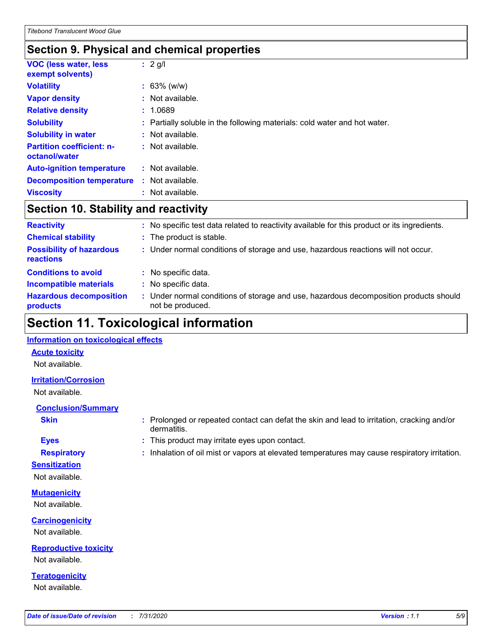### **Section 9. Physical and chemical properties**

| <b>VOC (less water, less)</b><br>exempt solvents) | $: 2$ g/l                                                                 |
|---------------------------------------------------|---------------------------------------------------------------------------|
| <b>Volatility</b>                                 | $: 63\%$ (w/w)                                                            |
| <b>Vapor density</b>                              | : Not available.                                                          |
| <b>Relative density</b>                           | : 1.0689                                                                  |
| <b>Solubility</b>                                 | : Partially soluble in the following materials: cold water and hot water. |
| <b>Solubility in water</b>                        | $:$ Not available.                                                        |
| <b>Partition coefficient: n-</b><br>octanol/water | $:$ Not available.                                                        |
| <b>Auto-ignition temperature</b>                  | $:$ Not available.                                                        |
| <b>Decomposition temperature</b>                  | $:$ Not available.                                                        |
| <b>Viscosity</b>                                  | Not available.                                                            |

### **Section 10. Stability and reactivity**

| <b>Reactivity</b>                            |    | No specific test data related to reactivity available for this product or its ingredients.              |
|----------------------------------------------|----|---------------------------------------------------------------------------------------------------------|
| <b>Chemical stability</b>                    |    | : The product is stable.                                                                                |
| <b>Possibility of hazardous</b><br>reactions |    | : Under normal conditions of storage and use, hazardous reactions will not occur.                       |
| <b>Conditions to avoid</b>                   |    | : No specific data.                                                                                     |
| <b>Incompatible materials</b>                | ÷. | No specific data.                                                                                       |
| <b>Hazardous decomposition</b><br>products   |    | Under normal conditions of storage and use, hazardous decomposition products should<br>not be produced. |

### **Section 11. Toxicological information**

#### **Information on toxicological effects**

#### **Acute toxicity**

Not available.

#### **Irritation/Corrosion**

Not available.

### **Conclusion/Summary**

- 
- **Sensitization**

Not available.

**Mutagenicity** Not available.

**Carcinogenicity** Not available.

**Reproductive toxicity** Not available.

**Teratogenicity** Not available.

- **Skin Example 3 :** Prolonged or repeated contact can defat the skin and lead to irritation, cracking and/or dermatitis.
- **Eyes :** This product may irritate eyes upon contact.
- **Respiratory :** Inhalation of oil mist or vapors at elevated temperatures may cause respiratory irritation.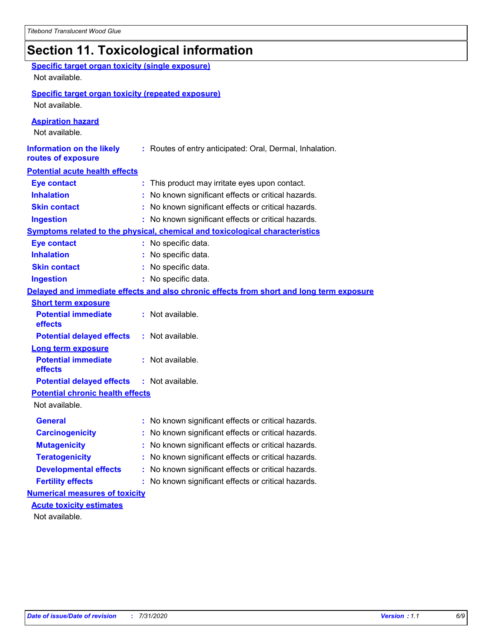# **Section 11. Toxicological information**

| <b>Specific target organ toxicity (single exposure)</b>   |                                                                                          |
|-----------------------------------------------------------|------------------------------------------------------------------------------------------|
| Not available.                                            |                                                                                          |
| <b>Specific target organ toxicity (repeated exposure)</b> |                                                                                          |
| Not available.                                            |                                                                                          |
| <b>Aspiration hazard</b><br>Not available.                |                                                                                          |
| <b>Information on the likely</b><br>routes of exposure    | : Routes of entry anticipated: Oral, Dermal, Inhalation.                                 |
| <b>Potential acute health effects</b>                     |                                                                                          |
| <b>Eye contact</b>                                        | : This product may irritate eyes upon contact.                                           |
| <b>Inhalation</b>                                         | : No known significant effects or critical hazards.                                      |
| <b>Skin contact</b>                                       | : No known significant effects or critical hazards.                                      |
| <b>Ingestion</b>                                          | : No known significant effects or critical hazards.                                      |
|                                                           | Symptoms related to the physical, chemical and toxicological characteristics             |
| <b>Eye contact</b>                                        | : No specific data.                                                                      |
| <b>Inhalation</b>                                         | : No specific data.                                                                      |
| <b>Skin contact</b>                                       | No specific data.                                                                        |
| <b>Ingestion</b>                                          | : No specific data.                                                                      |
|                                                           | Delayed and immediate effects and also chronic effects from short and long term exposure |
| <b>Short term exposure</b>                                |                                                                                          |
| <b>Potential immediate</b><br>effects                     | : Not available.                                                                         |
| <b>Potential delayed effects</b>                          | : Not available.                                                                         |
| <b>Long term exposure</b>                                 |                                                                                          |
| <b>Potential immediate</b><br>effects                     | : Not available.                                                                         |
| <b>Potential delayed effects</b>                          | : Not available.                                                                         |
| <b>Potential chronic health effects</b>                   |                                                                                          |
| Not available.                                            |                                                                                          |
| <b>General</b>                                            | No known significant effects or critical hazards.                                        |
| <b>Carcinogenicity</b>                                    | : No known significant effects or critical hazards.                                      |
| <b>Mutagenicity</b>                                       | No known significant effects or critical hazards.                                        |
| <b>Teratogenicity</b>                                     | No known significant effects or critical hazards.                                        |
| <b>Developmental effects</b>                              | No known significant effects or critical hazards.                                        |
| <b>Fertility effects</b>                                  | No known significant effects or critical hazards.                                        |
| <b>Numerical measures of toxicity</b>                     |                                                                                          |
| <b>Acute toxicity estimates</b>                           |                                                                                          |
| Not available.                                            |                                                                                          |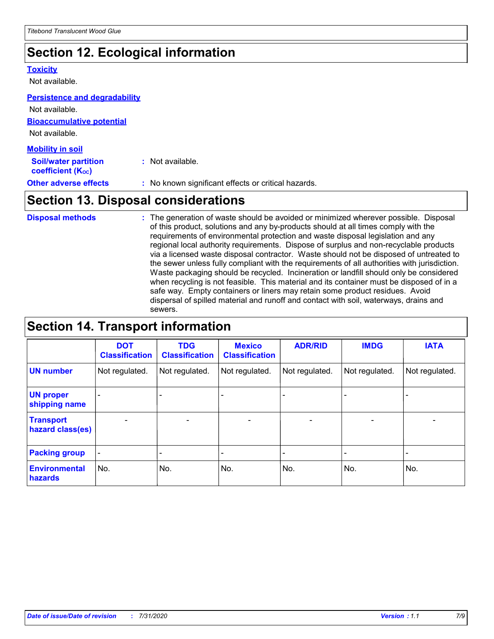# **Section 12. Ecological information**

#### **Toxicity**

Not available.

#### **Persistence and degradability**

**Bioaccumulative potential** Not available. Not available.

| <b>Mobility in soil</b>                                 |                                                     |
|---------------------------------------------------------|-----------------------------------------------------|
| <b>Soil/water partition</b><br><b>coefficient (Koc)</b> | : Not available.                                    |
| <b>Other adverse effects</b>                            | : No known significant effects or critical hazards. |

### **Section 13. Disposal considerations**

The generation of waste should be avoided or minimized wherever possible. Disposal of this product, solutions and any by-products should at all times comply with the requirements of environmental protection and waste disposal legislation and any regional local authority requirements. Dispose of surplus and non-recyclable products via a licensed waste disposal contractor. Waste should not be disposed of untreated to the sewer unless fully compliant with the requirements of all authorities with jurisdiction. Waste packaging should be recycled. Incineration or landfill should only be considered when recycling is not feasible. This material and its container must be disposed of in a safe way. Empty containers or liners may retain some product residues. Avoid dispersal of spilled material and runoff and contact with soil, waterways, drains and sewers. **Disposal methods :**

# **Section 14. Transport information**

|                                      | <b>DOT</b><br><b>Classification</b> | <b>TDG</b><br><b>Classification</b> | <b>Mexico</b><br><b>Classification</b> | <b>ADR/RID</b>               | <b>IMDG</b>              | <b>IATA</b>              |
|--------------------------------------|-------------------------------------|-------------------------------------|----------------------------------------|------------------------------|--------------------------|--------------------------|
| <b>UN number</b>                     | Not regulated.                      | Not regulated.                      | Not regulated.                         | Not regulated.               | Not regulated.           | Not regulated.           |
| <b>UN proper</b><br>shipping name    |                                     |                                     |                                        |                              |                          |                          |
| <b>Transport</b><br>hazard class(es) | $\overline{\phantom{m}}$            | $\overline{\phantom{0}}$            | $\qquad \qquad$                        | $\qquad \qquad \blacksquare$ | $\overline{\phantom{0}}$ | $\overline{\phantom{0}}$ |
| <b>Packing group</b>                 | $\overline{\phantom{a}}$            | -                                   |                                        | -                            |                          | -                        |
| <b>Environmental</b><br>hazards      | No.                                 | No.                                 | No.                                    | No.                          | No.                      | No.                      |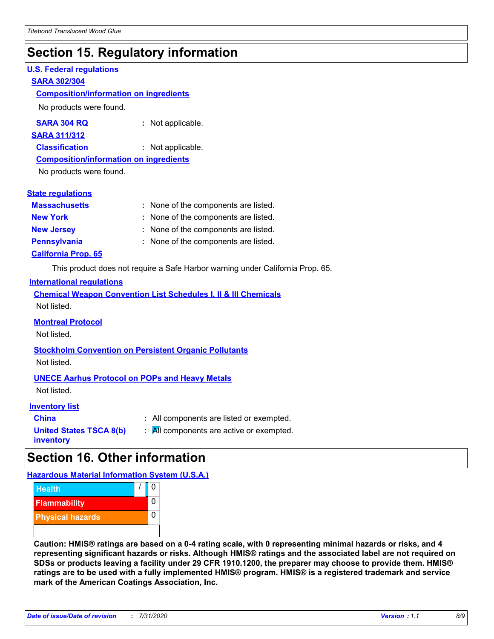### **Section 15. Regulatory information**

#### **U.S. Federal regulations**

#### **SARA 302/304**

#### **Composition/information on ingredients**

No products were found.

| SARA 304 RQ | Not applicable. |
|-------------|-----------------|
|-------------|-----------------|

#### **SARA 311/312**

**Classification :** Not applicable.

#### **Composition/information on ingredients**

No products were found.

#### **State regulations**

| <b>Massachusetts</b>       | : None of the components are listed. |
|----------------------------|--------------------------------------|
| <b>New York</b>            | : None of the components are listed. |
| <b>New Jersey</b>          | : None of the components are listed. |
| <b>Pennsylvania</b>        | : None of the components are listed. |
| <b>California Prop. 65</b> |                                      |

This product does not require a Safe Harbor warning under California Prop. 65.

#### **International regulations**

|             |  |  | <b>Chemical Weapon Convention List Schedules I, II &amp; III Chemicals</b> |  |
|-------------|--|--|----------------------------------------------------------------------------|--|
| Not listed. |  |  |                                                                            |  |

#### **Montreal Protocol**

Not listed.

# **Stockholm Convention on Persistent Organic Pollutants**

Not listed.

#### **UNECE Aarhus Protocol on POPs and Heavy Metals**

Not listed.

#### **Inventory list**

| <b>China</b>                   |  |
|--------------------------------|--|
| <b>United States TSCA 8(b)</b> |  |
| inventory                      |  |

**China :** All components are listed or exempted. **All components are active or exempted.** 

# **Section 16. Other information**

**Hazardous Material Information System (U.S.A.)**



**Caution: HMIS® ratings are based on a 0-4 rating scale, with 0 representing minimal hazards or risks, and 4 representing significant hazards or risks. Although HMIS® ratings and the associated label are not required on SDSs or products leaving a facility under 29 CFR 1910.1200, the preparer may choose to provide them. HMIS® ratings are to be used with a fully implemented HMIS® program. HMIS® is a registered trademark and service mark of the American Coatings Association, Inc.**